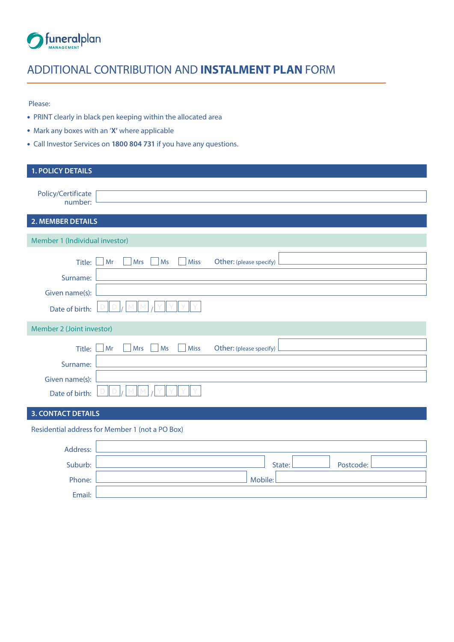

# ADDITIONAL CONTRIBUTION AND **INSTALMENT PLAN** FORM

#### Please:

- PRINT clearly in black pen keeping within the allocated area
- Mark any boxes with an '**X'** where applicable
- Call Investor Services on **1800 804 731** if you have any questions.

| <b>1. POLICY DETAILS</b>         |                                                                  |
|----------------------------------|------------------------------------------------------------------|
| Policy/Certificate<br>number:    |                                                                  |
| 2. MEMBER DETAILS                |                                                                  |
| Member 1 (Individual investor)   |                                                                  |
| Title:<br>Surname:               | <b>Miss</b><br>Other: (please specify)<br>Mr<br><b>Mrs</b><br>Ms |
| Given name(s):                   |                                                                  |
| Date of birth:                   |                                                                  |
| Member 2 (Joint investor)        |                                                                  |
| Title:<br>Surname:               | Mr<br><b>Mrs</b><br>Ms<br><b>Miss</b><br>Other: (please specify) |
| Given name(s):<br>Date of birth: |                                                                  |

# **3. CONTACT DETAILS**

# Residential address for Member 1 (not a PO Box)

| Address: |                     |
|----------|---------------------|
| Suburb:  | Postcode:<br>State: |
| Phone:   | Mobile:             |
| Email:   |                     |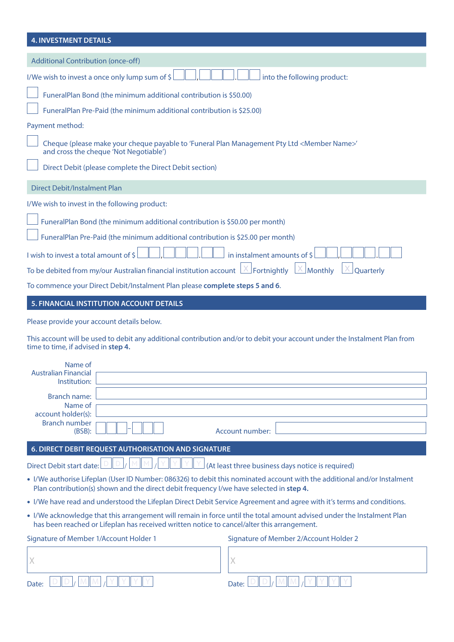| <b>4. INVESTMENT DETAILS</b>                                                                                                                                                                                         |
|----------------------------------------------------------------------------------------------------------------------------------------------------------------------------------------------------------------------|
| <b>Additional Contribution (once-off)</b>                                                                                                                                                                            |
| I/We wish to invest a once only lump sum of \$<br>into the following product:                                                                                                                                        |
| FuneralPlan Bond (the minimum additional contribution is \$50.00)                                                                                                                                                    |
| FuneralPlan Pre-Paid (the minimum additional contribution is \$25.00)                                                                                                                                                |
| Payment method:                                                                                                                                                                                                      |
| Cheque (please make your cheque payable to 'Funeral Plan Management Pty Ltd <member name="">'<br/>and cross the cheque 'Not Negotiable')</member>                                                                    |
| Direct Debit (please complete the Direct Debit section)                                                                                                                                                              |
| <b>Direct Debit/Instalment Plan</b>                                                                                                                                                                                  |
| I/We wish to invest in the following product:                                                                                                                                                                        |
| FuneralPlan Bond (the minimum additional contribution is \$50.00 per month)                                                                                                                                          |
| FuneralPlan Pre-Paid (the minimum additional contribution is \$25.00 per month)                                                                                                                                      |
| I wish to invest a total amount of \$<br>in instalment amounts of \$                                                                                                                                                 |
| To be debited from my/our Australian financial institution account<br>$\angle$ Fortnightly<br>Monthly<br>Quarterly                                                                                                   |
| To commence your Direct Debit/Instalment Plan please complete steps 5 and 6.                                                                                                                                         |
| 5. FINANCIAL INSTITUTION ACCOUNT DETAILS                                                                                                                                                                             |
| Please provide your account details below.                                                                                                                                                                           |
|                                                                                                                                                                                                                      |
| This account will be used to debit any additional contribution and/or to debit your account under the Instalment Plan from<br>time to time, if advised in step 4.                                                    |
| Name of<br><b>Australian Financial</b><br>Institution:                                                                                                                                                               |
| Branch name:                                                                                                                                                                                                         |
| Name of<br>account holder(s):                                                                                                                                                                                        |
| <b>Branch number</b><br>(BSB):<br>Account number:                                                                                                                                                                    |
| 6. DIRECT DEBIT REQUEST AUTHORISATION AND SIGNATURE                                                                                                                                                                  |
| (At least three business days notice is required)<br>Direct Debit start date:                                                                                                                                        |
| • I/We authorise Lifeplan (User ID Number: 086326) to debit this nominated account with the additional and/or Instalment<br>Plan contribution(s) shown and the direct debit frequency I/we have selected in step 4.  |
| • I/We have read and understood the Lifeplan Direct Debit Service Agreement and agree with it's terms and conditions.                                                                                                |
| . I/We acknowledge that this arrangement will remain in force until the total amount advised under the Instalment Plan<br>has been reached or Lifeplan has received written notice to cancel/alter this arrangement. |
| Signature of Member 1/Account Holder 1<br>Signature of Member 2/Account Holder 2                                                                                                                                     |
| Χ<br>Х                                                                                                                                                                                                               |